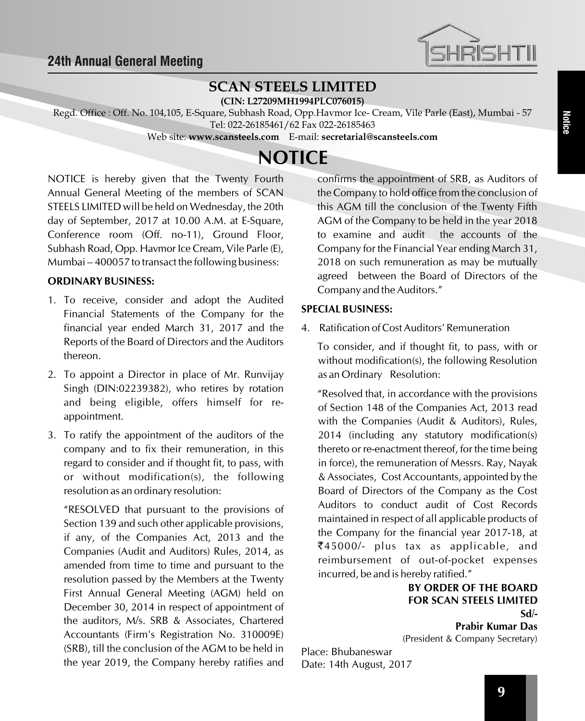

## **SCAN STEELS LIMITED**

**(CIN: L27209MH1994PLC076015)**

Regd. Office : Off. No. 104,105, E-Square, Subhash Road, Opp.Havmor Ice- Cream, Vile Parle (East), Mumbai - 57 Tel: 022-26185461/62 Fax 022-26185463

Web site: **www.scansteels.com** E-mail: **secretarial@scansteels.com**

# **NOTICE**

NOTICE is hereby given that the Twenty Fourth Annual General Meeting of the members of SCAN STEELS LIMITED will be held on Wednesday, the 20th day of September, 2017 at 10.00 A.M. at E-Square, Conference room (Off. no-11), Ground Floor, Subhash Road, Opp. Havmor Ice Cream, Vile Parle (E), Mumbai – 400057 to transact the following business:

### **ORDINARY BUSINESS:**

- 1. To receive, consider and adopt the Audited Financial Statements of the Company for the financial year ended March 31, 2017 and the Reports of the Board of Directors and the Auditors thereon.
- 2. To appoint a Director in place of Mr. Runvijay Singh (DIN:02239382), who retires by rotation and being eligible, offers himself for reappointment.
- 3. To ratify the appointment of the auditors of the company and to fix their remuneration, in this regard to consider and if thought fit, to pass, with or without modification(s), the following resolution as an ordinary resolution:

"RESOLVED that pursuant to the provisions of Section 139 and such other applicable provisions, if any, of the Companies Act, 2013 and the Companies (Audit and Auditors) Rules, 2014, as amended from time to time and pursuant to the resolution passed by the Members at the Twenty First Annual General Meeting (AGM) held on December 30, 2014 in respect of appointment of the auditors, M/s. SRB & Associates, Chartered Accountants (Firm's Registration No. 310009E) (SRB), till the conclusion of the AGM to be held in the year 2019, the Company hereby ratifies and confirms the appointment of SRB, as Auditors of the Company to hold office from the conclusion of this AGM till the conclusion of the Twenty Fifth AGM of the Company to be held in the year 2018 to examine and audit the accounts of the Company for the Financial Year ending March 31, 2018 on such remuneration as may be mutually agreed between the Board of Directors of the Company and the Auditors."

## **SPECIAL BUSINESS:**

4. Ratification of Cost Auditors' Remuneration

To consider, and if thought fit, to pass, with or without modification(s), the following Resolution as an Ordinary Resolution:

"Resolved that, in accordance with the provisions of Section 148 of the Companies Act, 2013 read with the Companies (Audit & Auditors), Rules, 2014 (including any statutory modification(s) thereto or re-enactment thereof, for the time being in force), the remuneration of Messrs. Ray, Nayak & Associates, Cost Accountants, appointed by the Board of Directors of the Company as the Cost Auditors to conduct audit of Cost Records maintained in respect of all applicable products of the Company for the financial year 2017-18, at  $\bar{z}$ 45000/- plus tax as applicable, and reimbursement of out-of-pocket expenses incurred, be and is hereby ratified."

## **BY ORDER OF THE BOARD FOR SCAN STEELS LIMITED Sd/-**

**Prabir Kumar Das** (President & Company Secretary)

Place: Bhubaneswar Date: 14th August, 2017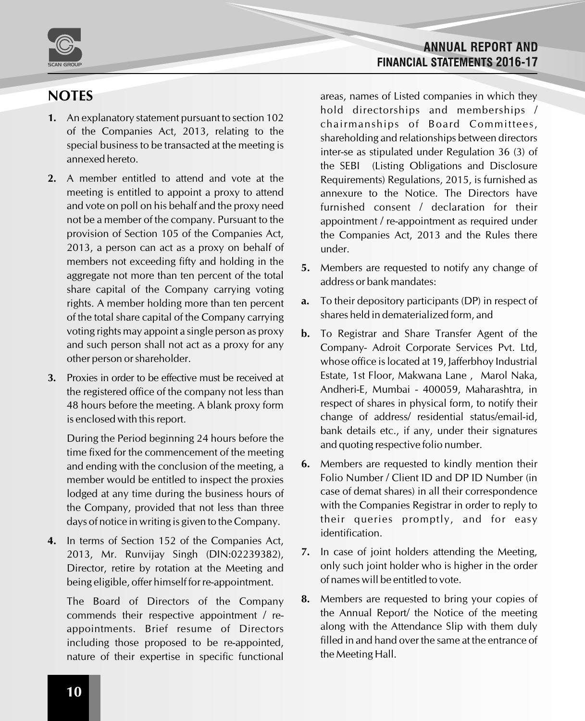

## **NOTES**

- **1.** An explanatory statement pursuant to section 102 of the Companies Act, 2013, relating to the special business to be transacted at the meeting is annexed hereto.
- **2.** A member entitled to attend and vote at the meeting is entitled to appoint a proxy to attend and vote on poll on his behalf and the proxy need not be a member of the company. Pursuant to the provision of Section 105 of the Companies Act, 2013, a person can act as a proxy on behalf of members not exceeding fifty and holding in the aggregate not more than ten percent of the total share capital of the Company carrying voting rights. A member holding more than ten percent of the total share capital of the Company carrying voting rights may appoint a single person as proxy and such person shall not act as a proxy for any other person or shareholder.
- **3.** Proxies in order to be effective must be received at the registered office of the company not less than 48 hours before the meeting. A blank proxy form is enclosed with this report.

During the Period beginning 24 hours before the time fixed for the commencement of the meeting and ending with the conclusion of the meeting, a member would be entitled to inspect the proxies lodged at any time during the business hours of the Company, provided that not less than three days of notice in writing is given to the Company.

**4.** In terms of Section 152 of the Companies Act, 2013, Mr. Runvijay Singh (DIN:02239382), Director, retire by rotation at the Meeting and being eligible, offer himself for re-appointment.

The Board of Directors of the Company commends their respective appointment / reappointments. Brief resume of Directors including those proposed to be re-appointed, nature of their expertise in specific functional

## **ANNUAL REPORT AND FINANCIAL STATEMENTS 2016-17**

areas, names of Listed companies in which they hold directorships and memberships / chairmanships of Board Committees, shareholding and relationships between directors inter-se as stipulated under Regulation 36 (3) of the SEBI (Listing Obligations and Disclosure Requirements) Regulations, 2015, is furnished as annexure to the Notice. The Directors have furnished consent / declaration for their appointment / re-appointment as required under the Companies Act, 2013 and the Rules there under.

- **5.** Members are requested to notify any change of address or bank mandates:
- **a.** To their depository participants (DP) in respect of shares held in dematerialized form, and
- **b.** To Registrar and Share Transfer Agent of the Company- Adroit Corporate Services Pvt. Ltd, whose office is located at 19, Jafferbhoy Industrial Estate, 1st Floor, Makwana Lane , Marol Naka, Andheri-E, Mumbai - 400059, Maharashtra, in respect of shares in physical form, to notify their change of address/ residential status/email-id, bank details etc., if any, under their signatures and quoting respective folio number.
- **6.** Members are requested to kindly mention their Folio Number / Client ID and DP ID Number (in case of demat shares) in all their correspondence with the Companies Registrar in order to reply to their queries promptly, and for easy identification.
- **7.** In case of joint holders attending the Meeting, only such joint holder who is higher in the order of names will be entitled to vote.
- **8.** Members are requested to bring your copies of the Annual Report/ the Notice of the meeting along with the Attendance Slip with them duly filled in and hand over the same at the entrance of the Meeting Hall.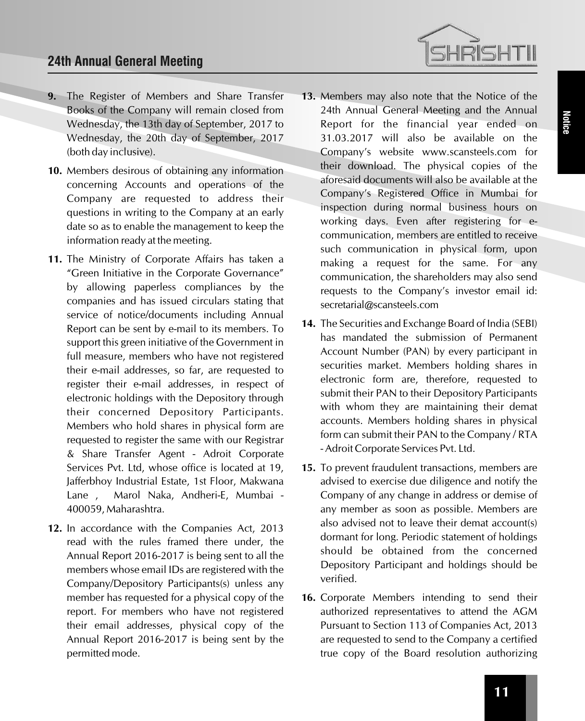## **24th Annual General Meeting**

- **9.** The Register of Members and Share Transfer Books of the Company will remain closed from Wednesday, the 13th day of September, 2017 to Wednesday, the 20th day of September, 2017 (both day inclusive).
- **10.** Members desirous of obtaining any information concerning Accounts and operations of the Company are requested to address their questions in writing to the Company at an early date so as to enable the management to keep the information ready at the meeting.
- **11.** The Ministry of Corporate Affairs has taken a "Green Initiative in the Corporate Governance" by allowing paperless compliances by the companies and has issued circulars stating that service of notice/documents including Annual Report can be sent by e-mail to its members. To support this green initiative of the Government in full measure, members who have not registered their e-mail addresses, so far, are requested to register their e-mail addresses, in respect of electronic holdings with the Depository through their concerned Depository Participants. Members who hold shares in physical form are requested to register the same with our Registrar & Share Transfer Agent - Adroit Corporate Services Pvt. Ltd, whose office is located at 19, Jafferbhoy Industrial Estate, 1st Floor, Makwana Lane , Marol Naka, Andheri-E, Mumbai - 400059, Maharashtra.
- **12.** In accordance with the Companies Act, 2013 read with the rules framed there under, the Annual Report 2016-2017 is being sent to all the members whose email IDs are registered with the Company/Depository Participants(s) unless any member has requested for a physical copy of the report. For members who have not registered their email addresses, physical copy of the Annual Report 2016-2017 is being sent by the permitted mode.
- **13.** Members may also note that the Notice of the 24th Annual General Meeting and the Annual Report for the financial year ended on 31.03.2017 will also be available on the Company's website www.scansteels.com for their download. The physical copies of the aforesaid documents will also be available at the Company's Registered Office in Mumbai for inspection during normal business hours on working days. Even after registering for ecommunication, members are entitled to receive such communication in physical form, upon making a request for the same. For any communication, the shareholders may also send requests to the Company's investor email id: secretarial@scansteels.com
- **14.** The Securities and Exchange Board of India (SEBI) has mandated the submission of Permanent Account Number (PAN) by every participant in securities market. Members holding shares in electronic form are, therefore, requested to submit their PAN to their Depository Participants with whom they are maintaining their demat accounts. Members holding shares in physical form can submit their PAN to the Company / RTA - Adroit Corporate Services Pvt. Ltd.
- **15.** To prevent fraudulent transactions, members are advised to exercise due diligence and notify the Company of any change in address or demise of any member as soon as possible. Members are also advised not to leave their demat account(s) dormant for long. Periodic statement of holdings should be obtained from the concerned Depository Participant and holdings should be verified.
- **16.** Corporate Members intending to send their authorized representatives to attend the AGM Pursuant to Section 113 of Companies Act, 2013 are requested to send to the Company a certified true copy of the Board resolution authorizing

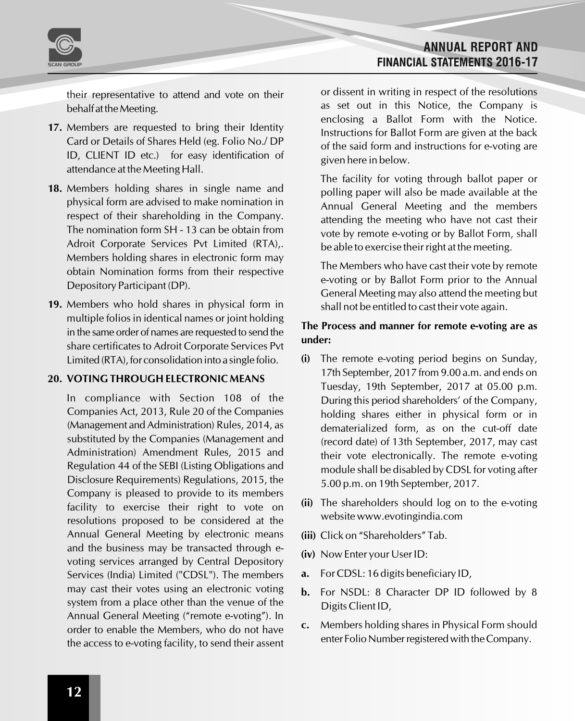

**ANNUAL REPORT AND FINANCIAL STATEMENTS 2016-17** 

their representative to attend and vote on their behalf at the Meeting.

- **17.** Members are requested to bring their Identity Card or Details of Shares Held (eg. Folio No./ DP ID, CLIENT ID etc.) for easy identification of attendance at the Meeting Hall.
- **18.** Members holding shares in single name and physical form are advised to make nomination in respect of their shareholding in the Company. The nomination form SH - 13 can be obtain from Adroit Corporate Services Pvt Limited (RTA),. Members holding shares in electronic form may obtain Nomination forms from their respective Depository Participant (DP).
- **19.** Members who hold shares in physical form in multiple folios in identical names or joint holding in the same order of names are requested to send the share certificates to Adroit Corporate Services Pvt Limited (RTA), for consolidation into a single folio.

## **20. VOTING THROUGH ELECTRONIC MEANS**

In compliance with Section 108 of the Companies Act, 2013, Rule 20 of the Companies (Management and Administration) Rules, 2014, as substituted by the Companies (Management and Administration) Amendment Rules, 2015 and Regulation 44 of the SEBI (Listing Obligations and Disclosure Requirements) Regulations, 2015, the Company is pleased to provide to its members facility to exercise their right to vote on resolutions proposed to be considered at the Annual General Meeting by electronic means and the business may be transacted through evoting services arranged by Central Depository Services (India) Limited ("CDSL"). The members may cast their votes using an electronic voting system from a place other than the venue of the Annual General Meeting ("remote e-voting"). In order to enable the Members, who do not have the access to e-voting facility, to send their assent

or dissent in writing in respect of the resolutions as set out in this Notice, the Company is enclosing a Ballot Form with the Notice. Instructions for Ballot Form are given at the back of the said form and instructions for e-voting are given here in below.

The facility for voting through ballot paper or polling paper will also be made available at the Annual General Meeting and the members attending the meeting who have not cast their vote by remote e-voting or by Ballot Form, shall be able to exercise their right at the meeting.

The Members who have cast their vote by remote e-voting or by Ballot Form prior to the Annual General Meeting may also attend the meeting but shall not be entitled to cast their vote again.

### **The Process and manner for remote e-voting are as under:**

- **(i)** The remote e-voting period begins on Sunday, 17th September, 2017 from 9.00 a.m. and ends on Tuesday, 19th September, 2017 at 05.00 p.m. During this period shareholders' of the Company, holding shares either in physical form or in dematerialized form, as on the cut-off date (record date) of 13th September, 2017, may cast their vote electronically. The remote e-voting module shall be disabled by CDSL for voting after 5.00 p.m. on 19th September, 2017.
- **(ii)** The shareholders should log on to the e-voting website www.evotingindia.com
- **(iii)** Click on "Shareholders" Tab.
- **(iv)** Now Enter your User ID:
- **a.** For CDSL: 16 digits beneficiary ID,
- **b.** For NSDL: 8 Character DP ID followed by 8 Digits Client ID,
- **c.** Members holding shares in Physical Form should enter Folio Number registered with the Company.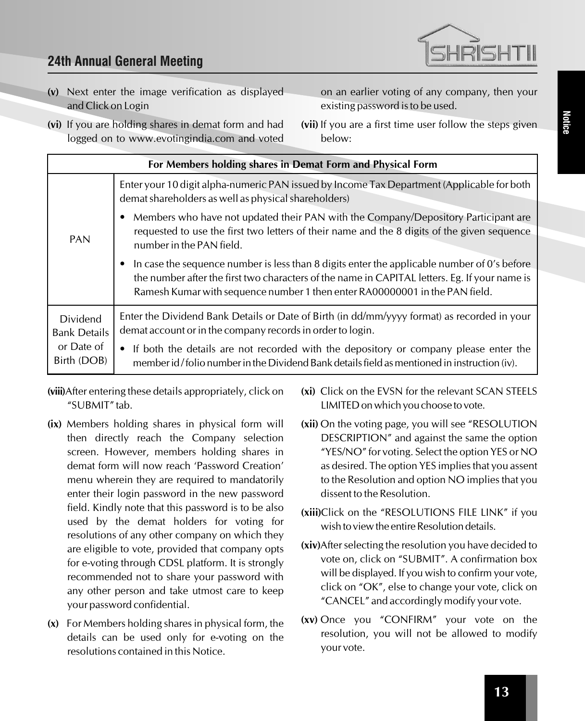

on an earlier voting of any company, then your

**(vii)** If you are a first time user follow the steps given

existing password is to be used.

below:

- **(v)** Next enter the image verification as displayed and Click on Login
- **(vi)** If you are holding shares in demat form and had logged on to www.evotingindia.com and voted
- **For Members holding shares in Demat Form and Physical Form** Enter your 10 digit alpha-numeric PAN issued by Income Tax Department (Applicable for both demat shareholders as well as physical shareholders) • Members who have not updated their PAN with the Company/Depository Participant are requested to use the first two letters of their name and the 8 digits of the given sequence number in the PAN field. • In case the sequence number is less than 8 digits enter the applicable number of 0's before the number after the first two characters of the name in CAPITAL letters. Eg. If your name is Ramesh Kumar with sequence number 1 then enter RA00000001 in the PAN field. Enter the Dividend Bank Details or Date of Birth (in dd/mm/yyyy format) as recorded in your demat account or in the company records in order to login. • If both the details are not recorded with the depository or company please enter the member id/folio number in the Dividend Bank details field as mentioned in instruction (iv). PAN Dividend Bank Details or Date of Birth (DOB)
- **(viii)**After entering these details appropriately, click on "SUBMIT" tab.
- **(ix)** Members holding shares in physical form will then directly reach the Company selection screen. However, members holding shares in demat form will now reach 'Password Creation' menu wherein they are required to mandatorily enter their login password in the new password field. Kindly note that this password is to be also used by the demat holders for voting for resolutions of any other company on which they are eligible to vote, provided that company opts for e-voting through CDSL platform. It is strongly recommended not to share your password with any other person and take utmost care to keep your password confidential.
- **(x)** For Members holding shares in physical form, the details can be used only for e-voting on the resolutions contained in this Notice.
- **(xi)** Click on the EVSN for the relevant SCAN STEELS LIMITED on which you choose to vote.
- **(xii)** On the voting page, you will see "RESOLUTION DESCRIPTION" and against the same the option "YES/NO" for voting. Select the option YES or NO as desired. The option YES implies that you assent to the Resolution and option NO implies that you dissent to the Resolution.
- **(xiii)**Click on the "RESOLUTIONS FILE LINK" if you wish to view the entire Resolution details.
- **(xiv)**After selecting the resolution you have decided to vote on, click on "SUBMIT". A confirmation box will be displayed. If you wish to confirm your vote, click on "OK", else to change your vote, click on "CANCEL" and accordingly modify your vote.
- **(xv)** Once you "CONFIRM" your vote on the resolution, you will not be allowed to modify your vote.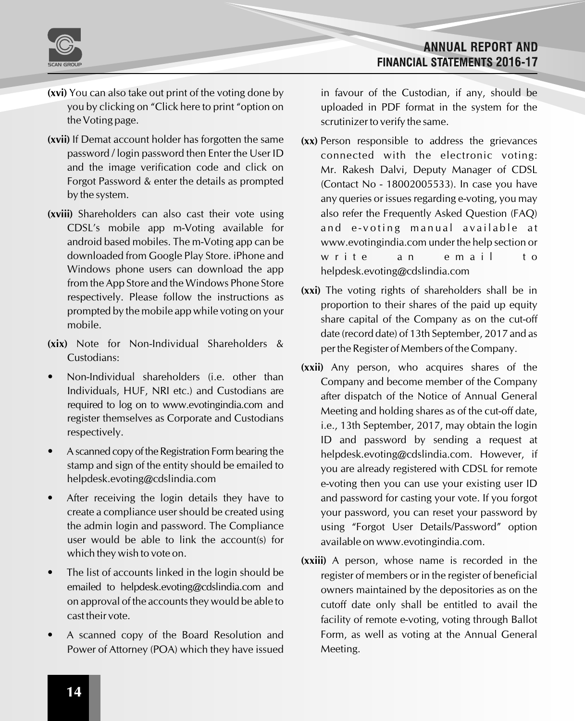

- **(xvi)** You can also take out print of the voting done by you by clicking on "Click here to print "option on the Voting page.
- **(xvii)** If Demat account holder has forgotten the same password / login password then Enter the User ID and the image verification code and click on Forgot Password & enter the details as prompted by the system.
- **(xviii)** Shareholders can also cast their vote using CDSL's mobile app m-Voting available for android based mobiles. The m-Voting app can be downloaded from Google Play Store. iPhone and Windows phone users can download the app from the App Store and the Windows Phone Store respectively. Please follow the instructions as prompted by the mobile app while voting on your mobile.
- **(xix)** Note for Non-Individual Shareholders & Custodians:
- Non-Individual shareholders (i.e. other than Individuals, HUF, NRI etc.) and Custodians are required to log on to www.evotingindia.com and register themselves as Corporate and Custodians respectively.
- Ascanned copy of the Registration Form bearing the stamp and sign of the entity should be emailed to helpdesk.evoting@cdslindia.com
- After receiving the login details they have to create a compliance user should be created using the admin login and password. The Compliance user would be able to link the account(s) for which they wish to vote on.
- The list of accounts linked in the login should be emailed to helpdesk.evoting@cdslindia.com and on approval of the accounts they would be able to cast their vote.
- A scanned copy of the Board Resolution and Power of Attorney (POA) which they have issued

in favour of the Custodian, if any, should be uploaded in PDF format in the system for the scrutinizer to verify the same.

- **(xx)** Person responsible to address the grievances connected with the electronic voting: Mr. Rakesh Dalvi, Deputy Manager of CDSL (Contact No - 18002005533). In case you have any queries or issues regarding e-voting, you may also refer the Frequently Asked Question (FAQ) and e-voting manual available at www.evotingindia.com under the help section or write an email to helpdesk.evoting@cdslindia.com
- **(xxi)** The voting rights of shareholders shall be in proportion to their shares of the paid up equity share capital of the Company as on the cut-off date (record date) of 13th September, 2017 and as per the Register of Members of the Company.
- **(xxii)** Any person, who acquires shares of the Company and become member of the Company after dispatch of the Notice of Annual General Meeting and holding shares as of the cut-off date, i.e., 13th September, 2017, may obtain the login ID and password by sending a request at helpdesk.evoting@cdslindia.com. However, if you are already registered with CDSL for remote e-voting then you can use your existing user ID and password for casting your vote. If you forgot your password, you can reset your password by using "Forgot User Details/Password" option available on www.evotingindia.com.
- **(xxiii)** A person, whose name is recorded in the register of members or in the register of beneficial owners maintained by the depositories as on the cutoff date only shall be entitled to avail the facility of remote e-voting, voting through Ballot Form, as well as voting at the Annual General Meeting.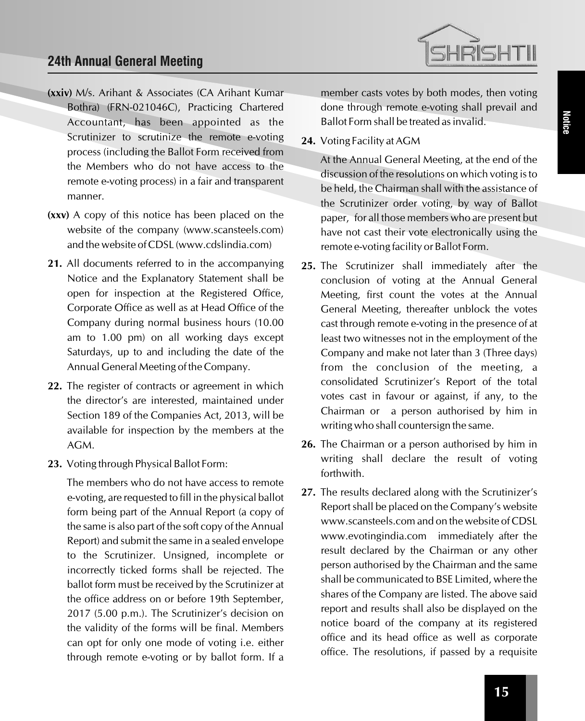## **24th Annual General Meeting**

- **(xxiv)** M/s. Arihant & Associates (CA Arihant Kumar Bothra) (FRN-021046C), Practicing Chartered Accountant, has been appointed as the Scrutinizer to scrutinize the remote e-voting process (including the Ballot Form received from the Members who do not have access to the remote e-voting process) in a fair and transparent manner.
- **(xxv)** A copy of this notice has been placed on the website of the company (www.scansteels.com) and the website of CDSL (www.cdslindia.com)
- **21.** All documents referred to in the accompanying Notice and the Explanatory Statement shall be open for inspection at the Registered Office, Corporate Office as well as at Head Office of the Company during normal business hours (10.00 am to 1.00 pm) on all working days except Saturdays, up to and including the date of the Annual General Meeting of the Company.
- **22.** The register of contracts or agreement in which the director's are interested, maintained under Section 189 of the Companies Act, 2013, will be available for inspection by the members at the AGM.
- **23.** Voting through Physical Ballot Form:

The members who do not have access to remote e-voting, are requested to fill in the physical ballot form being part of the Annual Report (a copy of the same is also part of the soft copy of the Annual Report) and submit the same in a sealed envelope to the Scrutinizer. Unsigned, incomplete or incorrectly ticked forms shall be rejected. The ballot form must be received by the Scrutinizer at the office address on or before 19th September, 2017 (5.00 p.m.). The Scrutinizer's decision on the validity of the forms will be final. Members can opt for only one mode of voting i.e. either through remote e-voting or by ballot form. If a member casts votes by both modes, then voting done through remote e-voting shall prevail and Ballot Form shall be treated as invalid.

**IRISHTI** 

**24.** Voting Facility at AGM

At the Annual General Meeting, at the end of the discussion of the resolutions on which voting is to be held, the Chairman shall with the assistance of the Scrutinizer order voting, by way of Ballot paper, for all those members who are present but have not cast their vote electronically using the remote e-voting facility or Ballot Form.

- **25.** The Scrutinizer shall immediately after the conclusion of voting at the Annual General Meeting, first count the votes at the Annual General Meeting, thereafter unblock the votes cast through remote e-voting in the presence of at least two witnesses not in the employment of the Company and make not later than 3 (Three days) from the conclusion of the meeting, a consolidated Scrutinizer's Report of the total votes cast in favour or against, if any, to the Chairman or a person authorised by him in writing who shall countersign the same.
- **26.** The Chairman or a person authorised by him in writing shall declare the result of voting forthwith.
- **27.** The results declared along with the Scrutinizer's Report shall be placed on the Company's website www.scansteels.com and on the website of CDSL www.evotingindia.com immediately after the result declared by the Chairman or any other person authorised by the Chairman and the same shall be communicated to BSE Limited, where the shares of the Company are listed. The above said report and results shall also be displayed on the notice board of the company at its registered office and its head office as well as corporate office. The resolutions, if passed by a requisite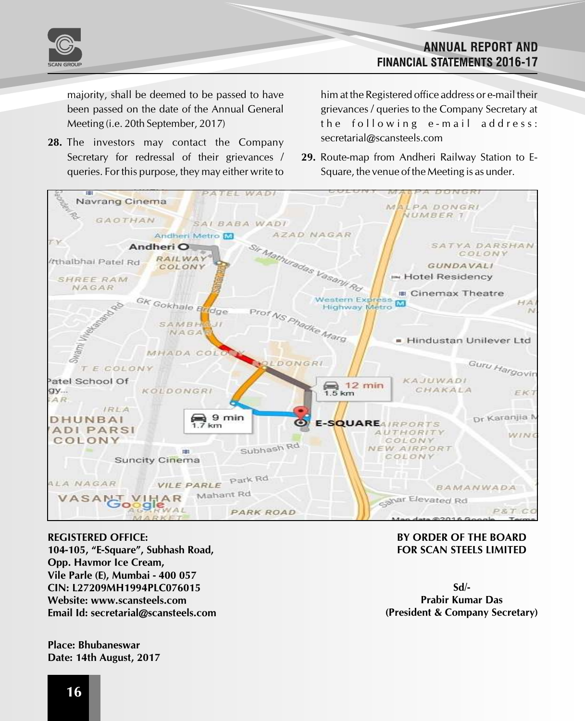

majority, shall be deemed to be passed to have been passed on the date of the Annual General Meeting (i.e. 20th September, 2017)

**28.** The investors may contact the Company Secretary for redressal of their grievances / queries. For this purpose, they may either write to him at the Registered office address or e-mail their grievances / queries to the Company Secretary at the following e-mail address: secretarial@scansteels.com

**ANNUAL REPORT AND** 

**FINANCIAL STATEMENTS 2016-17** 

**29.** Route-map from Andheri Railway Station to E-Square, the venue of the Meeting is as under.



#### **REGISTERED OFFICE:**

**104-105, "E-Square", Subhash Road, Opp. Havmor Ice Cream, Vile Parle (E), Mumbai - 400 057 CIN: L27209MH1994PLC076015 Website: www.scansteels.com Email Id: secretarial@scansteels.com**

**Place: Bhubaneswar Date: 14th August, 2017**

#### **BY ORDER OF THE BOARD FOR SCAN STEELS LIMITED**

**Sd/- Prabir Kumar Das (President & Company Secretary)**

## **16**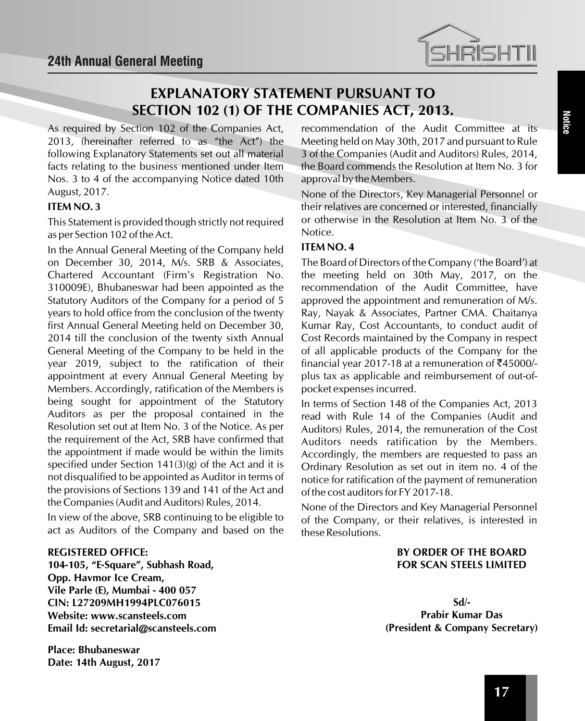

## **EXPLANATORY STATEMENT PURSUANT TO SECTION 102 (1) OF THE COMPANIES ACT, 2013.**

As required by Section 102 of the Companies Act, 2013, (hereinafter referred to as "the Act") the following Explanatory Statements set out all material facts relating to the business mentioned under Item Nos. 3 to 4 of the accompanying Notice dated 10th August, 2017.

## **ITEM NO. 3**

This Statement is provided though strictly not required as per Section 102 of the Act.

In the Annual General Meeting of the Company held on December 30, 2014, M/s. SRB & Associates, Chartered Accountant (Firm's Registration No. 310009E), Bhubaneswar had been appointed as the Statutory Auditors of the Company for a period of 5 years to hold office from the conclusion of the twenty first Annual General Meeting held on December 30, 2014 till the conclusion of the twenty sixth Annual General Meeting of the Company to be held in the year 2019, subject to the ratification of their appointment at every Annual General Meeting by Members. Accordingly, ratification of the Members is being sought for appointment of the Statutory Auditors as per the proposal contained in the Resolution set out at Item No. 3 of the Notice. As per the requirement of the Act, SRB have confirmed that the appointment if made would be within the limits specified under Section 141(3)(g) of the Act and it is not disqualified to be appointed as Auditor in terms of the provisions of Sections 139 and 141 of the Act and the Companies (Audit and Auditors) Rules, 2014.

In view of the above, SRB continuing to be eligible to act as Auditors of the Company and based on the

#### **REGISTERED OFFICE:**

**104-105, "E-Square", Subhash Road, Opp. Havmor Ice Cream, Vile Parle (E), Mumbai - 400 057 CIN: L27209MH1994PLC076015 Website: www.scansteels.com Email Id: secretarial@scansteels.com**

**Place: Bhubaneswar Date: 14th August, 2017** recommendation of the Audit Committee at its Meeting held on May 30th, 2017 and pursuant to Rule 3 of the Companies (Audit and Auditors) Rules, 2014, the Board commends the Resolution at Item No. 3 for approval by the Members.

None of the Directors, Key Managerial Personnel or their relatives are concerned or interested, financially or otherwise in the Resolution at Item No. 3 of the Notice.

#### **ITEM NO. 4**

The Board of Directors of the Company ('the Board') at the meeting held on 30th May, 2017, on the recommendation of the Audit Committee, have approved the appointment and remuneration of M/s. Ray, Nayak & Associates, Partner CMA. Chaitanya Kumar Ray, Cost Accountants, to conduct audit of Cost Records maintained by the Company in respect of all applicable products of the Company for the financial year 2017-18 at a remuneration of  $\overline{5}45000/$ plus tax as applicable and reimbursement of out-ofpocket expenses incurred.

In terms of Section 148 of the Companies Act, 2013 read with Rule 14 of the Companies (Audit and Auditors) Rules, 2014, the remuneration of the Cost Auditors needs ratification by the Members. Accordingly, the members are requested to pass an Ordinary Resolution as set out in item no. 4 of the notice for ratification of the payment of remuneration of the cost auditors for FY 2017-18.

None of the Directors and Key Managerial Personnel of the Company, or their relatives, is interested in these Resolutions.

### **BY ORDER OF THE BOARD FOR SCAN STEELS LIMITED**

**Sd/- Prabir Kumar Das (President & Company Secretary)**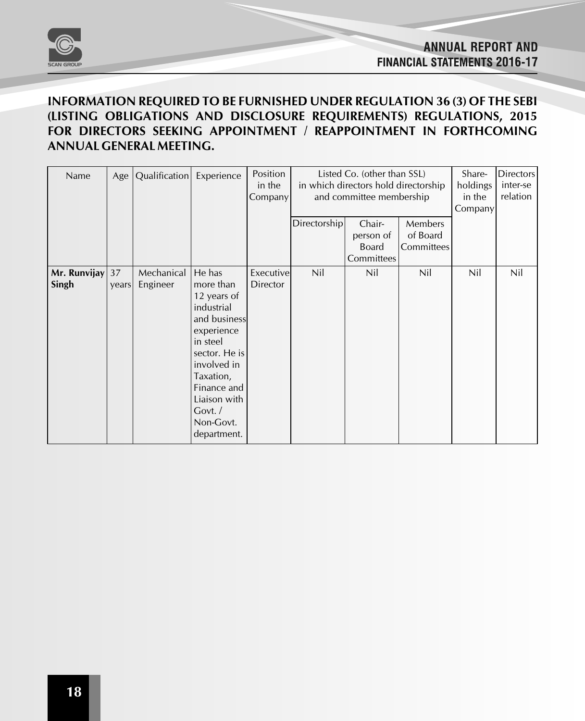

## **INFORMATION REQUIRED TO BE FURNISHED UNDER REGULATION 36 (3) OF THE SEBI (LISTING OBLIGATIONS AND DISCLOSURE REQUIREMENTS) REGULATIONS, 2015 FOR DIRECTORS SEEKING APPOINTMENT / REAPPOINTMENT IN FORTHCOMING ANNUAL GENERAL MEETING.**

| Name                  |             | Age   Qualification    | Experience                                                                                                                                                                                                   | Position<br>in the<br>Company | Listed Co. (other than SSL)<br>in which directors hold directorship<br>and committee membership |                                                   | Share-<br>holdings<br>in the<br>Company | <b>Directors</b><br>inter-se<br>relation |     |
|-----------------------|-------------|------------------------|--------------------------------------------------------------------------------------------------------------------------------------------------------------------------------------------------------------|-------------------------------|-------------------------------------------------------------------------------------------------|---------------------------------------------------|-----------------------------------------|------------------------------------------|-----|
|                       |             |                        |                                                                                                                                                                                                              |                               | Directorship                                                                                    | Chair-<br>person of<br><b>Board</b><br>Committees | Members<br>of Board<br>Committees       |                                          |     |
| Mr. Runvijay<br>Singh | 37<br>years | Mechanical<br>Engineer | He has<br>more than<br>12 years of<br>industrial<br>and business<br>experience<br>in steel<br>sector. He is<br>involved in<br>Taxation,<br>Finance and<br>Liaison with<br>Govt./<br>Non-Govt.<br>department. | Executive<br><b>Director</b>  | Nil                                                                                             | Nil                                               | <b>Nil</b>                              | <b>Nil</b>                               | Nil |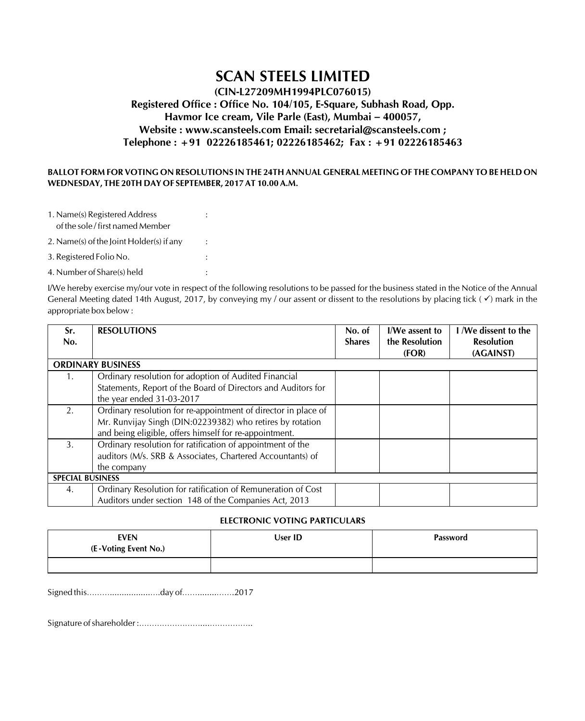## **SCAN STEELS LIMITED**

## **(CIN-L27209MH1994PLC076015) Registered Office : Office No. 104/105, E-Square, Subhash Road, Opp. Havmor Ice cream, Vile Parle (East), Mumbai – 400057, Website : www.scansteels.com Email: secretarial@scansteels.com ; Telephone : +91 02226185461; 02226185462; Fax : +91 02226185463**

#### **BALLOT FORM FOR VOTING ON RESOLUTIONS IN THE 24TH ANNUAL GENERAL MEETING OF THE COMPANY TO BE HELD ON WEDNESDAY, THE 20TH DAY OF SEPTEMBER, 2017 AT 10.00 A.M.**

- 1. Name(s) Registered Address : of the sole / first named Member
- 2. Name(s) of the Joint Holder(s) if any :
- 3. Registered Folio No. :
- 4. Number of Share(s) held :

I/We hereby exercise my/our vote in respect of the following resolutions to be passed for the business stated in the Notice of the Annual General Meeting dated 14th August, 2017, by conveying my / our assent or dissent to the resolutions by placing tick ( $\checkmark$ ) mark in the appropriate box below :

| Sr.<br>No.               | <b>RESOLUTIONS</b>                                             | No. of<br><b>Shares</b> | I/We assent to<br>the Resolution | I /We dissent to the<br><b>Resolution</b> |  |  |
|--------------------------|----------------------------------------------------------------|-------------------------|----------------------------------|-------------------------------------------|--|--|
|                          |                                                                |                         | (FOR)                            | (AGAINST)                                 |  |  |
| <b>ORDINARY BUSINESS</b> |                                                                |                         |                                  |                                           |  |  |
| 1.                       | Ordinary resolution for adoption of Audited Financial          |                         |                                  |                                           |  |  |
|                          | Statements, Report of the Board of Directors and Auditors for  |                         |                                  |                                           |  |  |
|                          | the year ended 31-03-2017                                      |                         |                                  |                                           |  |  |
| 2.                       | Ordinary resolution for re-appointment of director in place of |                         |                                  |                                           |  |  |
|                          | Mr. Runvijay Singh (DIN:02239382) who retires by rotation      |                         |                                  |                                           |  |  |
|                          | and being eligible, offers himself for re-appointment.         |                         |                                  |                                           |  |  |
| 3.                       | Ordinary resolution for ratification of appointment of the     |                         |                                  |                                           |  |  |
|                          | auditors (M/s. SRB & Associates, Chartered Accountants) of     |                         |                                  |                                           |  |  |
|                          | the company                                                    |                         |                                  |                                           |  |  |
| <b>SPECIAL BUSINESS</b>  |                                                                |                         |                                  |                                           |  |  |
| 4.                       | Ordinary Resolution for ratification of Remuneration of Cost   |                         |                                  |                                           |  |  |
|                          | Auditors under section 148 of the Companies Act, 2013          |                         |                                  |                                           |  |  |

#### **ELECTRONIC VOTING PARTICULARS**

| <b>EVEN</b><br>(E-Voting Event No.) | User ID | <b>Password</b> |
|-------------------------------------|---------|-----------------|
|                                     |         |                 |

Signed this……….................….day of……........…….2017

Signature of shareholder :……………………....……………..